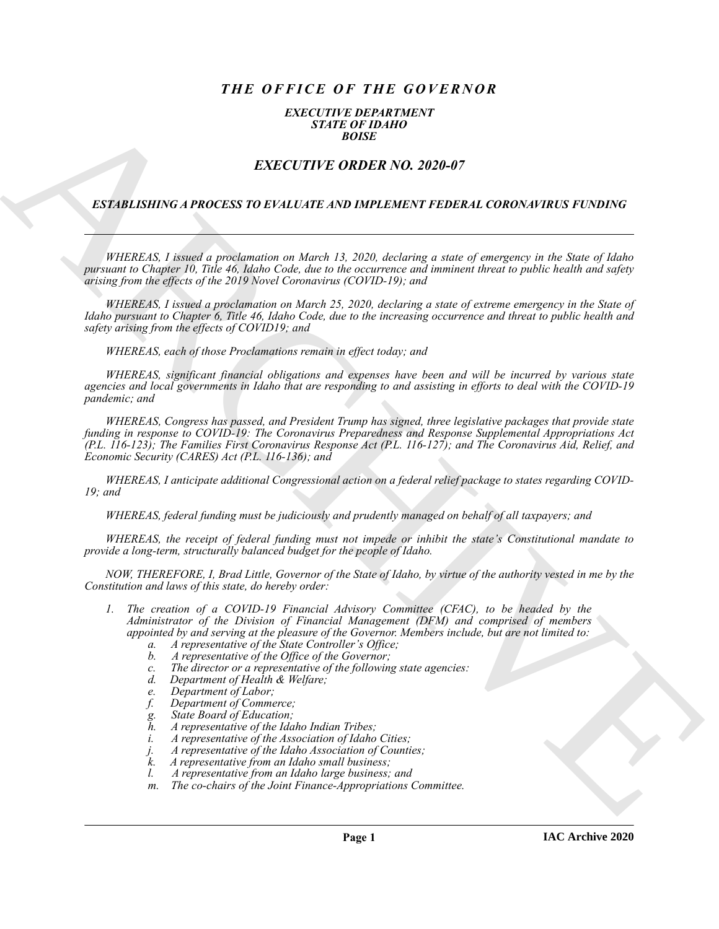# *THE OFFICE OF THE GOVERNOR*

#### *EXECUTIVE DEPARTMENT STATE OF IDAHO BOISE*

## *EXECUTIVE ORDER NO. 2020-07*

#### *ESTABLISHING A PROCESS TO EVALUATE AND IMPLEMENT FEDERAL CORONAVIRUS FUNDING*

*WHEREAS, I issued a proclamation on March 13, 2020, declaring a state of emergency in the State of Idaho pursuant to Chapter 10, Title 46, Idaho Code, due to the occurrence and imminent threat to public health and safety arising from the effects of the 2019 Novel Coronavirus (COVID-19); and*

*WHEREAS, I issued a proclamation on March 25, 2020, declaring a state of extreme emergency in the State of Idaho pursuant to Chapter 6, Title 46, Idaho Code, due to the increasing occurrence and threat to public health and safety arising from the effects of COVID19; and*

*WHEREAS, each of those Proclamations remain in effect today; and*

*WHEREAS, significant financial obligations and expenses have been and will be incurred by various state agencies and local governments in Idaho that are responding to and assisting in efforts to deal with the COVID-19 pandemic; and*

EXECUTIVE ORDER NO. 2020-07<br>
ESTABLISHING A PROCESS TO EVALUATE AND MITELIAL THEOLEMA CORPONANT REDUCTIVE ORDER NO. 2020-07<br>
ARCHIVES A PROCESS TO EVALUATE AND HATELMENT FEDERAL CORPONANTS ENDING<br>
FROM THE CORPORATION CON *WHEREAS, Congress has passed, and President Trump has signed, three legislative packages that provide state funding in response to COVID-19: The Coronavirus Preparedness and Response Supplemental Appropriations Act (P.L. 116-123); The Families First Coronavirus Response Act (P.L. 116-127); and The Coronavirus Aid, Relief, and Economic Security (CARES) Act (P.L. 116-136); and*

*WHEREAS, I anticipate additional Congressional action on a federal relief package to states regarding COVID-19; and*

*WHEREAS, federal funding must be judiciously and prudently managed on behalf of all taxpayers; and*

*WHEREAS, the receipt of federal funding must not impede or inhibit the state's Constitutional mandate to provide a long-term, structurally balanced budget for the people of Idaho.*

*NOW, THEREFORE, I, Brad Little, Governor of the State of Idaho, by virtue of the authority vested in me by the Constitution and laws of this state, do hereby order:*

- *1. The creation of a COVID-19 Financial Advisory Committee (CFAC), to be headed by the Administrator of the Division of Financial Management (DFM) and comprised of members appointed by and serving at the pleasure of the Governor. Members include, but are not limited to:*
	- *a. A representative of the State Controller's Office;*
	- *b. A representative of the Office of the Governor;*
	- *c. The director or a representative of the following state agencies:*
	- *d. Department of Health & Welfare;*
	- *e. Department of Labor;*
	- *f. Department of Commerce;*
	- *g. State Board of Education;*
	- *h. A representative of the Idaho Indian Tribes;*
	- *i. A representative of the Association of Idaho Cities;*
	- *j. A representative of the Idaho Association of Counties;*
	- *k. A representative from an Idaho small business;*
	- *l. A representative from an Idaho large business; and*
	- *m. The co-chairs of the Joint Finance-Appropriations Committee.*